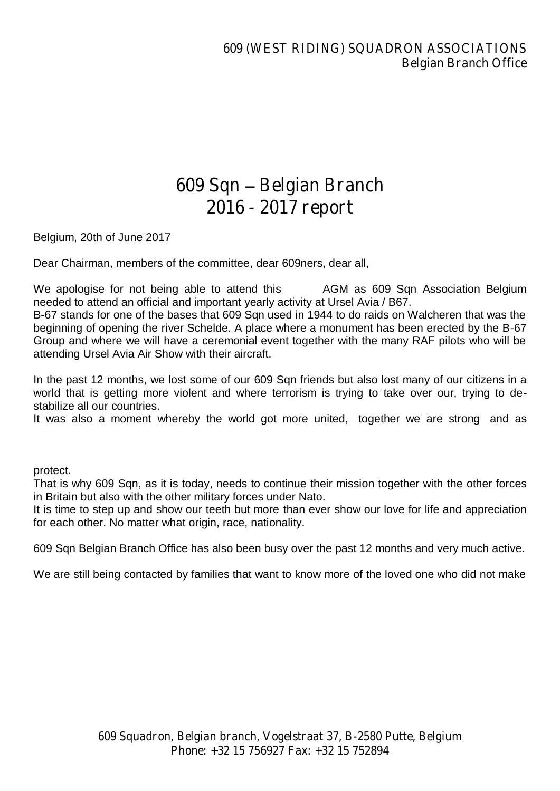## 609 Sqn ±Belgian Branch 2016-2017 report

Belgium, 20th of June 2017

Dear Chairman, members of the committee, dear 609ners, dear all,

We apologise for not being able to attend this  $\setminus H$  D U AGM as 609 Sqn Association Belgium needed to attend an official and important yearly activity at Ursel Avia / B67.

B-67 stands for one of the bases that 609 Sqn used in 1944 to do raids on Walcheren that was the beginning of opening the river Schelde. A place where a monument has been erected by the B-67 Group and where we will have a ceremonial event together with the many RAF pilots who will be attending Ursel Avia Air Show with their aircraft.

In the past 12 months, we lost some of our 609 Sqn friends but also lost many of our citizens in a world that is getting more violent and where terrorism is trying to take over our, trying to destabilize all our countries.

It was also a moment whereby the world got more united, itogether we are strong and as &KXUFKLOO ZRXOG KDYH VDLG LW 3:H :LOO 1HYHU 6XUUHQGHI

ODQ\6TQSLORWVJDYH<sup>3</sup>WKHLUWRGD\IRURXUWRPRUUR protect.

That is why 609 Sqn, as it is today, needs to continue their mission together with the other forces in Britain but also with the other military forces under Nato.

It is time to step up and show our teeth but more than ever show our love for life and appreciation for each other. No matter what origin, race, nationality.

609 Sqn Belgian Branch Office has also been busy over the past 12 months and very much active.

We are still being contacted by families that want to know more of the loved one who did not make